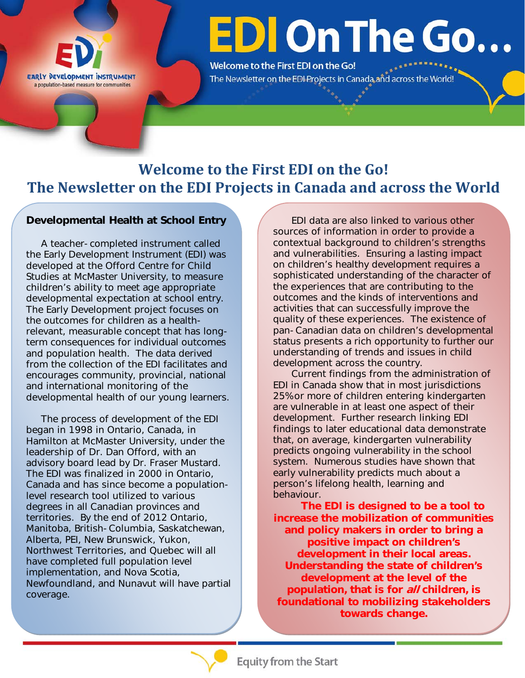

# **EDI On The Go...**

Welcome to the First EDI on the Go! The Newsletter on the EDI Projects in Canada and across the World!

## **Welcome to the First EDI on the Go! The Newsletter on the EDI Projects in Canada and across the World**

#### **Developmental Health at School Entry**

 A teacher-completed instrument called the Early Development Instrument (EDI) was developed at the Offord Centre for Child Studies at McMaster University, to measure children's ability to meet age appropriate developmental expectation at school entry. The Early Development project focuses on the outcomes for children as a healthrelevant, measurable concept that has longterm consequences for individual outcomes and population health. The data derived from the collection of the EDI facilitates and encourages community, provincial, national and international monitoring of the developmental health of our young learners.

 The process of development of the EDI began in 1998 in Ontario, Canada, in Hamilton at McMaster University, under the leadership of Dr. Dan Offord, with an advisory board lead by Dr. Fraser Mustard. The EDI was finalized in 2000 in Ontario, Canada and has since become a populationlevel research tool utilized to various degrees in all Canadian provinces and territories. By the end of 2012 Ontario, Manitoba, British-Columbia, Saskatchewan, Alberta, PEI, New Brunswick, Yukon, Northwest Territories, and Quebec will all have completed full population level implementation, and Nova Scotia, Newfoundland, and Nunavut will have partial coverage.

EDI data are also linked to various other sources of information in order to provide a contextual background to children's strengths and vulnerabilities. Ensuring a lasting impact on children's healthy development requires a sophisticated understanding of the character of the experiences that are contributing to the outcomes and the kinds of interventions and activities that can successfully improve the quality of these experiences. The existence of pan-Canadian data on children's developmental status presents a rich opportunity to further our understanding of trends and issues in child development across the country.

Current findings from the administration of EDI in Canada show that in most jurisdictions 25% or more of children entering kindergarten are vulnerable in at least one aspect of their development. Further research linking EDI findings to later educational data demonstrate that, on average, kindergarten vulnerability predicts ongoing vulnerability in the school system. Numerous studies have shown that early vulnerability predicts much about a person's lifelong health, learning and behaviour.

**The EDI is designed to be a tool to increase the mobilization of communities and policy makers in order to bring a positive impact on children's development in their local areas. Understanding the state of children's development at the level of the population, that is for all children, is foundational to mobilizing stakeholders towards change.** 

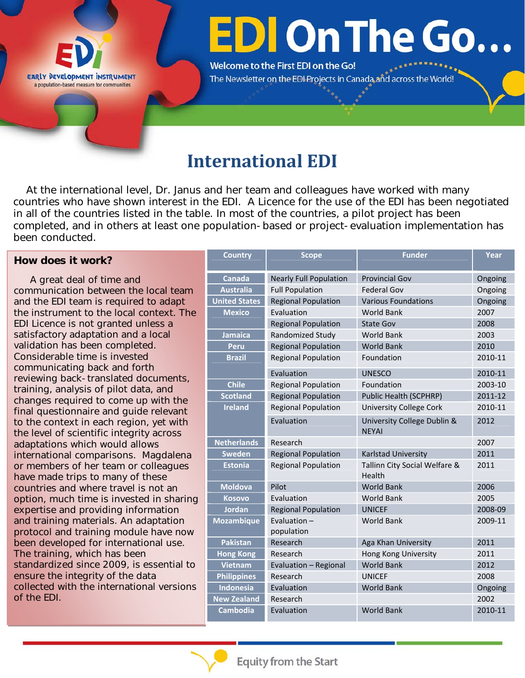

# **EDI On The Go...**

Welcome to the First EDI on the Go! The Newsletter on the EDI Projects in Canada and across the World!

## **International EDI**

 At the international level, Dr. Janus and her team and colleagues have worked with many countries who have shown interest in the EDI. A Licence for the use of the EDI has been negotiated in all of the countries listed in the table. In most of the countries, a pilot project has been completed, and in others at least one population-based or project-evaluation implementation has been conducted.

#### **How does it work?**

 A great deal of time and communication between the local team and the EDI team is required to adapt the instrument to the local context. The EDI Licence is not granted unless a satisfactory adaptation and a local validation has been completed. Considerable time is invested communicating back and forth reviewing back-translated documents, training, analysis of pilot data, and changes required to come up with the final questionnaire and guide relevant to the context in each region, yet with the level of scientific integrity across adaptations which would allows international comparisons. Magdalena or members of her team or colleagues have made trips to many of these countries and where travel is not an option, much time is invested in sharing expertise and providing information and training materials. An adaptation protocol and training module have now been developed for international use. The training, which has been standardized since 2009, is essential to ensure the integrity of the data collected with the international versions of the EDI.

| <b>Country</b>       | <b>Scope</b>                  | <b>Funder</b>                               | Year    |
|----------------------|-------------------------------|---------------------------------------------|---------|
| <b>Canada</b>        | <b>Nearly Full Population</b> | <b>Provincial Gov</b>                       | Ongoing |
| <b>Australia</b>     | <b>Full Population</b>        | <b>Federal Gov</b>                          | Ongoing |
| <b>United States</b> | <b>Regional Population</b>    | <b>Various Foundations</b>                  | Ongoing |
| <b>Mexico</b>        | Evaluation                    | <b>World Bank</b>                           | 2007    |
|                      | <b>Regional Population</b>    | <b>State Gov</b>                            | 2008    |
| <b>Jamaica</b>       | Randomized Study              | <b>World Bank</b>                           | 2003    |
| Peru                 | <b>Regional Population</b>    | <b>World Bank</b>                           | 2010    |
| <b>Brazil</b>        | <b>Regional Population</b>    | Foundation                                  | 2010-11 |
|                      | Evaluation                    | <b>UNESCO</b>                               | 2010-11 |
| <b>Chile</b>         | <b>Regional Population</b>    | Foundation                                  | 2003-10 |
| <b>Scotland</b>      | <b>Regional Population</b>    | Public Health (SCPHRP)                      | 2011-12 |
| <b>Ireland</b>       | <b>Regional Population</b>    | <b>University College Cork</b>              | 2010-11 |
|                      | Evaluation                    | University College Dublin &<br><b>NEYAI</b> | 2012    |
| <b>Netherlands</b>   | Research                      |                                             | 2007    |
| <b>Sweden</b>        | <b>Regional Population</b>    | Karlstad University                         | 2011    |
| <b>Estonia</b>       | <b>Regional Population</b>    | Tallinn City Social Welfare &<br>Health     | 2011    |
| <b>Moldova</b>       | Pilot                         | <b>World Bank</b>                           | 2006    |
| <b>Kosovo</b>        | Evaluation                    | <b>World Bank</b>                           | 2005    |
| Jordan               | <b>Regional Population</b>    | <b>UNICEF</b>                               | 2008-09 |
| <b>Mozambique</b>    | Evaluation $-$<br>population  | <b>World Bank</b>                           | 2009-11 |
| <b>Pakistan</b>      | Research                      | Aga Khan University                         | 2011    |
| <b>Hong Kong</b>     | Research                      | Hong Kong University                        | 2011    |
| <b>Vietnam</b>       | Evaluation - Regional         | <b>World Bank</b>                           | 2012    |
| <b>Philippines</b>   | Research                      | <b>UNICEF</b>                               | 2008    |
| <b>Indonesia</b>     | Evaluation                    | <b>World Bank</b>                           | Ongoing |
| <b>New Zealand</b>   | Research                      |                                             | 2002    |
| <b>Cambodia</b>      | Evaluation                    | <b>World Bank</b>                           | 2010-11 |

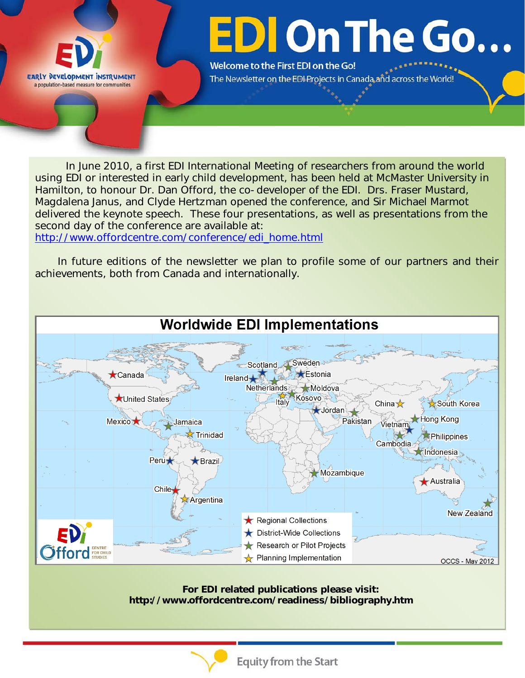

# **EDI On The Go...**

Welcome to the First EDI on the Go! The Newsletter on the EDI Projects in Canada and across the World!

In June 2010, a first EDI International Meeting of researchers from around the world using EDI or interested in early child development, has been held at McMaster University in Hamilton, to honour Dr. Dan Offord, the co-developer of the EDI. Drs. Fraser Mustard, Magdalena Janus, and Clyde Hertzman opened the conference, and Sir Michael Marmot delivered the keynote speech. These four presentations, as well as presentations from the second day of the conference are available at:

http://www.offordcentre.com/conference/edi\_home.html

 In future editions of the newsletter we plan to profile some of our partners and their achievements, both from Canada and internationally.



**For EDI related publications please visit: http://www.offordcentre.com/readiness/bibliography.htm**



**Equity from the Start**